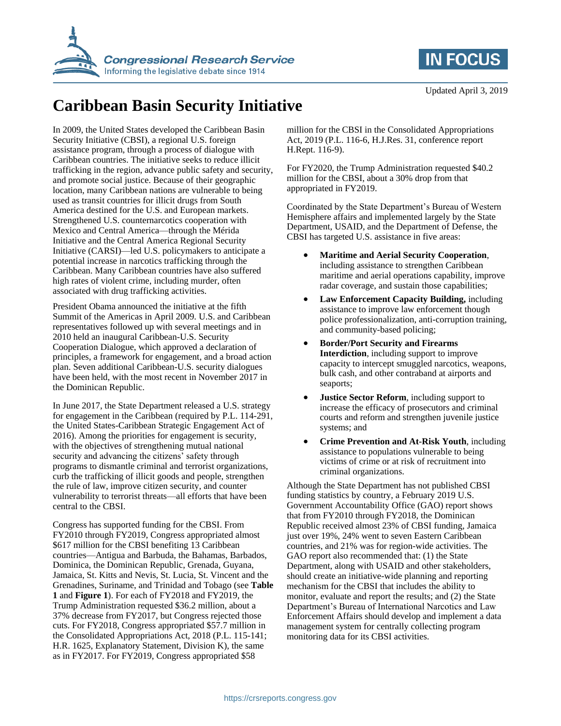



## **Caribbean Basin Security Initiative**

In 2009, the United States developed the Caribbean Basin Security Initiative (CBSI), a regional U.S. foreign assistance program, through a process of dialogue with Caribbean countries. The initiative seeks to reduce illicit trafficking in the region, advance public safety and security, and promote social justice. Because of their geographic location, many Caribbean nations are vulnerable to being used as transit countries for illicit drugs from South America destined for the U.S. and European markets. Strengthened U.S. counternarcotics cooperation with Mexico and Central America—through the Mérida Initiative and the Central America Regional Security Initiative (CARSI)—led U.S. policymakers to anticipate a potential increase in narcotics trafficking through the Caribbean. Many Caribbean countries have also suffered high rates of violent crime, including murder, often associated with drug trafficking activities.

President Obama announced the initiative at the fifth Summit of the Americas in April 2009. U.S. and Caribbean representatives followed up with several meetings and in 2010 held an inaugural Caribbean-U.S. Security Cooperation Dialogue, which approved a declaration of principles, a framework for engagement, and a broad action plan. Seven additional Caribbean-U.S. security dialogues have been held, with the most recent in November 2017 in the Dominican Republic.

In June 2017, the State Department released a U.S. strategy for engagement in the Caribbean (required by P.L. 114-291, the United States-Caribbean Strategic Engagement Act of 2016). Among the priorities for engagement is security, with the objectives of strengthening mutual national security and advancing the citizens' safety through programs to dismantle criminal and terrorist organizations, curb the trafficking of illicit goods and people, strengthen the rule of law, improve citizen security, and counter vulnerability to terrorist threats—all efforts that have been central to the CBSI.

Congress has supported funding for the CBSI. From FY2010 through FY2019, Congress appropriated almost \$617 million for the CBSI benefiting 13 Caribbean countries—Antigua and Barbuda, the Bahamas, Barbados, Dominica, the Dominican Republic, Grenada, Guyana, Jamaica, St. Kitts and Nevis, St. Lucia, St. Vincent and the Grenadines, Suriname, and Trinidad and Tobago (see **[Table](#page-1-0)  [1](#page-1-0)** and **[Figure 1](#page-1-1)**). For each of FY2018 and FY2019, the Trump Administration requested \$36.2 million, about a 37% decrease from FY2017, but Congress rejected those cuts. For FY2018, Congress appropriated \$57.7 million in the Consolidated Appropriations Act, 2018 (P.L. 115-141; H.R. 1625, Explanatory Statement, Division K), the same as in FY2017. For FY2019, Congress appropriated \$58

million for the CBSI in the Consolidated Appropriations Act, 2019 (P.L. 116-6, H.J.Res. 31, conference report H.Rept. 116-9).

For FY2020, the Trump Administration requested \$40.2 million for the CBSI, about a 30% drop from that appropriated in FY2019.

Coordinated by the State Department's Bureau of Western Hemisphere affairs and implemented largely by the State Department, USAID, and the Department of Defense, the CBSI has targeted U.S. assistance in five areas:

- **Maritime and Aerial Security Cooperation**, including assistance to strengthen Caribbean maritime and aerial operations capability, improve radar coverage, and sustain those capabilities;
- **Law Enforcement Capacity Building,** including assistance to improve law enforcement though police professionalization, anti-corruption training, and community-based policing;
- **Border/Port Security and Firearms Interdiction**, including support to improve capacity to intercept smuggled narcotics, weapons, bulk cash, and other contraband at airports and seaports;
- **Justice Sector Reform**, including support to increase the efficacy of prosecutors and criminal courts and reform and strengthen juvenile justice systems; and
- **Crime Prevention and At-Risk Youth**, including assistance to populations vulnerable to being victims of crime or at risk of recruitment into criminal organizations.

Although the State Department has not published CBSI funding statistics by country, a February 2019 U.S. Government Accountability Office (GAO) report shows that from FY2010 through FY2018, the Dominican Republic received almost 23% of CBSI funding, Jamaica just over 19%, 24% went to seven Eastern Caribbean countries, and 21% was for region-wide activities. The GAO report also recommended that: (1) the State Department, along with USAID and other stakeholders, should create an initiative-wide planning and reporting mechanism for the CBSI that includes the ability to monitor, evaluate and report the results; and (2) the State Department's Bureau of International Narcotics and Law Enforcement Affairs should develop and implement a data management system for centrally collecting program monitoring data for its CBSI activities.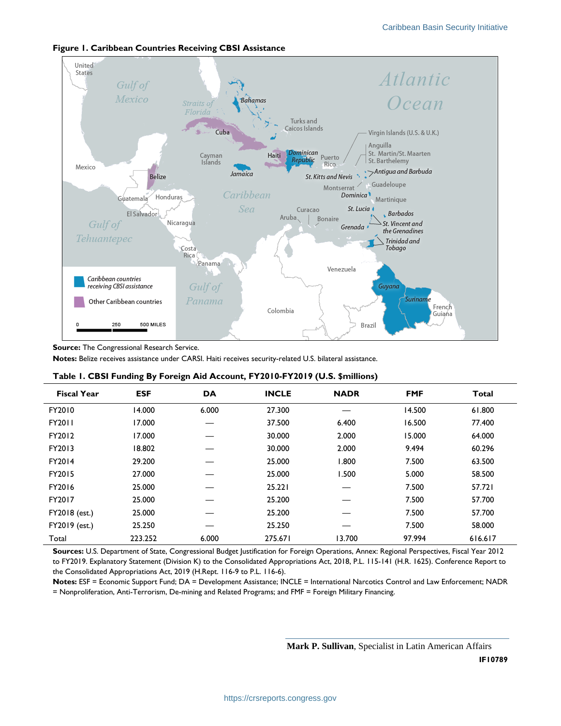

## <span id="page-1-1"></span>**Figure 1. Caribbean Countries Receiving CBSI Assistance**

**Source:** The Congressional Research Service.

**Notes:** Belize receives assistance under CARSI. Haiti receives security-related U.S. bilateral assistance.

| ี ๐ -              |            |           |              |             |            |         |
|--------------------|------------|-----------|--------------|-------------|------------|---------|
| <b>Fiscal Year</b> | <b>ESF</b> | <b>DA</b> | <b>INCLE</b> | <b>NADR</b> | <b>FMF</b> | Total   |
| FY2010             | 14.000     | 6.000     | 27.300       |             | 14.500     | 61.800  |
| <b>FY2011</b>      | 17.000     |           | 37.500       | 6.400       | 16.500     | 77.400  |
| FY2012             | 17.000     |           | 30.000       | 2.000       | 15.000     | 64.000  |
| FY2013             | 18.802     |           | 30.000       | 2.000       | 9.494      | 60.296  |
| FY2014             | 29.200     |           | 25.000       | 1.800       | 7.500      | 63.500  |
| FY2015             | 27.000     |           | 25.000       | 1.500       | 5.000      | 58.500  |
| FY2016             | 25.000     |           | 25.221       |             | 7.500      | 57.721  |
| FY2017             | 25.000     |           | 25.200       |             | 7.500      | 57.700  |
| FY2018 (est.)      | 25.000     |           | 25.200       |             | 7.500      | 57.700  |
| FY2019 (est.)      | 25.250     |           | 25.250       |             | 7.500      | 58.000  |
| Total              | 223.252    | 6.000     | 275.671      | 13.700      | 97.994     | 616.617 |

## <span id="page-1-0"></span>**Table 1. CBSI Funding By Foreign Aid Account, FY2010-FY2019 (U.S. \$millions)**

**Sources:** U.S. Department of State, Congressional Budget Justification for Foreign Operations, Annex: Regional Perspectives, Fiscal Year 2012 to FY2019. Explanatory Statement (Division K) to the Consolidated Appropriations Act, 2018, P.L. 115-141 (H.R. 1625). Conference Report to the Consolidated Appropriations Act, 2019 (H.Rept. 116-9 to P.L. 116-6).

**Notes:** ESF = Economic Support Fund; DA = Development Assistance; INCLE = International Narcotics Control and Law Enforcement; NADR = Nonproliferation, Anti-Terrorism, De-mining and Related Programs; and FMF = Foreign Military Financing.